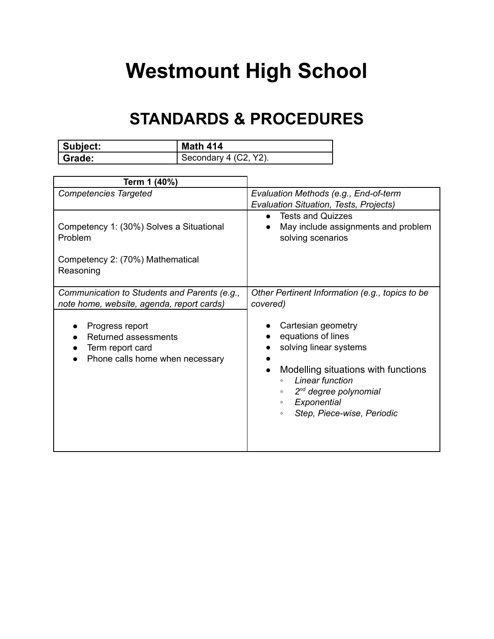## **Westmount High School**

## **STANDARDS & PROCEDURES**

| Subject: | <b>Math 414</b>       |
|----------|-----------------------|
| Grade:   | Secondary 4 (C2, Y2). |

| Term 1 (40%)                                                                                         |                                                                                                                                                                                                                                                     |
|------------------------------------------------------------------------------------------------------|-----------------------------------------------------------------------------------------------------------------------------------------------------------------------------------------------------------------------------------------------------|
| <b>Competencies Targeted</b>                                                                         | Evaluation Methods (e.g., End-of-term<br>Evaluation Situation, Tests, Projects)                                                                                                                                                                     |
| Competency 1: (30%) Solves a Situational<br>Problem<br>Competency 2: (70%) Mathematical<br>Reasoning | <b>Tests and Quizzes</b><br>$\bullet$<br>May include assignments and problem<br>solving scenarios                                                                                                                                                   |
| Communication to Students and Parents (e.g.,<br>note home, website, agenda, report cards)            | Other Pertinent Information (e.g., topics to be<br>covered)                                                                                                                                                                                         |
| Progress report<br>Returned assessments<br>Term report card<br>Phone calls home when necessary       | Cartesian geometry<br>equations of lines<br>solving linear systems<br>Modelling situations with functions<br>Linear function<br>$\circ$<br>$2^{nd}$ degree polynomial<br>$\circ$<br>Exponential<br>$\circ$<br>Step, Piece-wise, Periodic<br>$\circ$ |